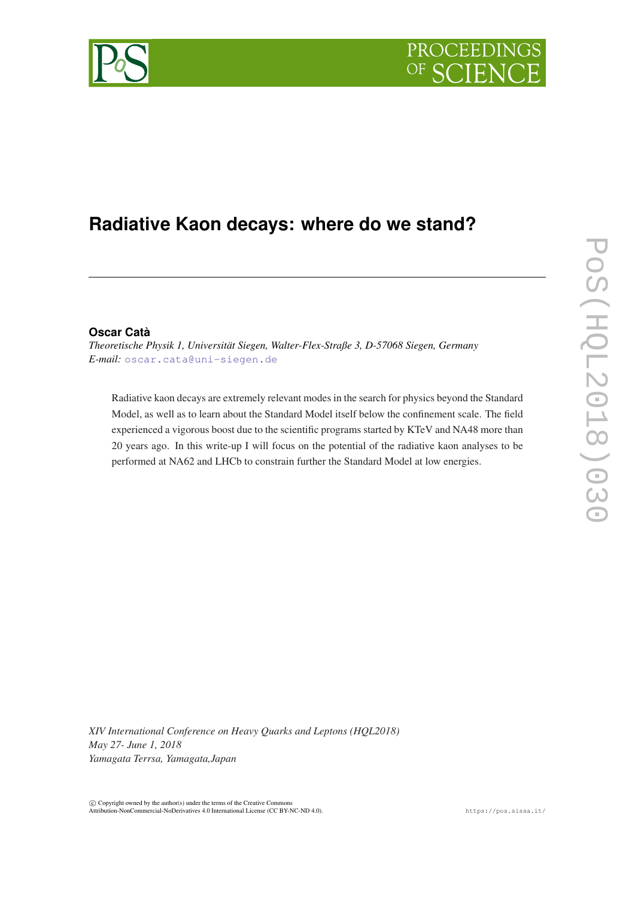

# **Radiative Kaon decays: where do we stand?**

# **Oscar Catà**

*Theoretische Physik 1, Universität Siegen, Walter-Flex-Straße 3, D-57068 Siegen, Germany E-mail:* [oscar.cata@uni-siegen.de](mailto:oscar.cata@uni-siegen.de)

Radiative kaon decays are extremely relevant modes in the search for physics beyond the Standard Model, as well as to learn about the Standard Model itself below the confinement scale. The field experienced a vigorous boost due to the scientific programs started by KTeV and NA48 more than 20 years ago. In this write-up I will focus on the potential of the radiative kaon analyses to be performed at NA62 and LHCb to constrain further the Standard Model at low energies.

*XIV International Conference on Heavy Quarks and Leptons (HQL2018) May 27- June 1, 2018 Yamagata Terrsa, Yamagata,Japan*

 $\overline{c}$  Copyright owned by the author(s) under the terms of the Creative Common Attribution-NonCommercial-NoDerivatives 4.0 International License (CC BY-NC-ND 4.0). https://pos.sissa.it/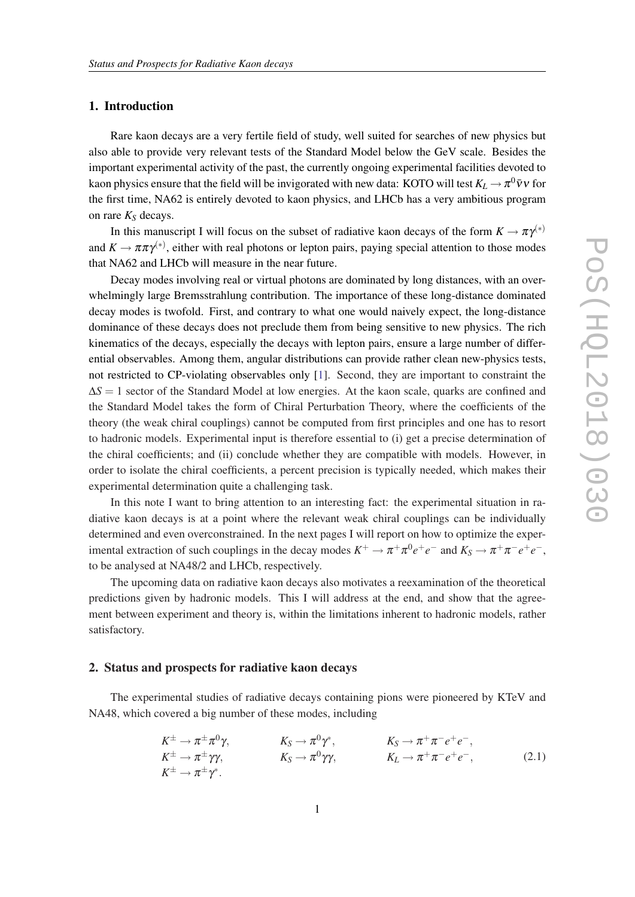# 1. Introduction

Rare kaon decays are a very fertile field of study, well suited for searches of new physics but also able to provide very relevant tests of the Standard Model below the GeV scale. Besides the important experimental activity of the past, the currently ongoing experimental facilities devoted to kaon physics ensure that the field will be invigorated with new data: KOTO will test  $K_L \to \pi^0 \bar{\nu} \nu$  for the first time, NA62 is entirely devoted to kaon physics, and LHCb has a very ambitious program on rare *K<sup>S</sup>* decays.

In this manuscript I will focus on the subset of radiative kaon decays of the form  $K \to \pi \gamma^{(*)}$ and  $K \to \pi \pi \gamma^{(*)}$ , either with real photons or lepton pairs, paying special attention to those modes that NA62 and LHCb will measure in the near future.

Decay modes involving real or virtual photons are dominated by long distances, with an overwhelmingly large Bremsstrahlung contribution. The importance of these long-distance dominated decay modes is twofold. First, and contrary to what one would naively expect, the long-distance dominance of these decays does not preclude them from being sensitive to new physics. The rich kinematics of the decays, especially the decays with lepton pairs, ensure a large number of differential observables. Among them, angular distributions can provide rather clean new-physics tests, not restricted to CP-violating observables only [\[1\]](#page-7-0). Second, they are important to constraint the  $\Delta$ *S* = 1 sector of the Standard Model at low energies. At the kaon scale, quarks are confined and the Standard Model takes the form of Chiral Perturbation Theory, where the coefficients of the theory (the weak chiral couplings) cannot be computed from first principles and one has to resort to hadronic models. Experimental input is therefore essential to (i) get a precise determination of the chiral coefficients; and (ii) conclude whether they are compatible with models. However, in order to isolate the chiral coefficients, a percent precision is typically needed, which makes their experimental determination quite a challenging task.

In this note I want to bring attention to an interesting fact: the experimental situation in radiative kaon decays is at a point where the relevant weak chiral couplings can be individually determined and even overconstrained. In the next pages I will report on how to optimize the experimental extraction of such couplings in the decay modes  $K^+ \to \pi^+ \pi^0 e^+ e^-$  and  $K_S \to \pi^+ \pi^- e^+ e^-$ , to be analysed at NA48/2 and LHCb, respectively.

The upcoming data on radiative kaon decays also motivates a reexamination of the theoretical predictions given by hadronic models. This I will address at the end, and show that the agreement between experiment and theory is, within the limitations inherent to hadronic models, rather satisfactory.

### 2. Status and prospects for radiative kaon decays

The experimental studies of radiative decays containing pions were pioneered by KTeV and NA48, which covered a big number of these modes, including

$$
K^{\pm} \to \pi^{\pm} \pi^{0} \gamma, \qquad K_{S} \to \pi^{0} \gamma^{*}, \qquad K_{S} \to \pi^{+} \pi^{-} e^{+} e^{-}, K^{\pm} \to \pi^{\pm} \gamma \gamma, \qquad K_{S} \to \pi^{0} \gamma \gamma, \qquad K_{L} \to \pi^{+} \pi^{-} e^{+} e^{-},
$$
(2.1)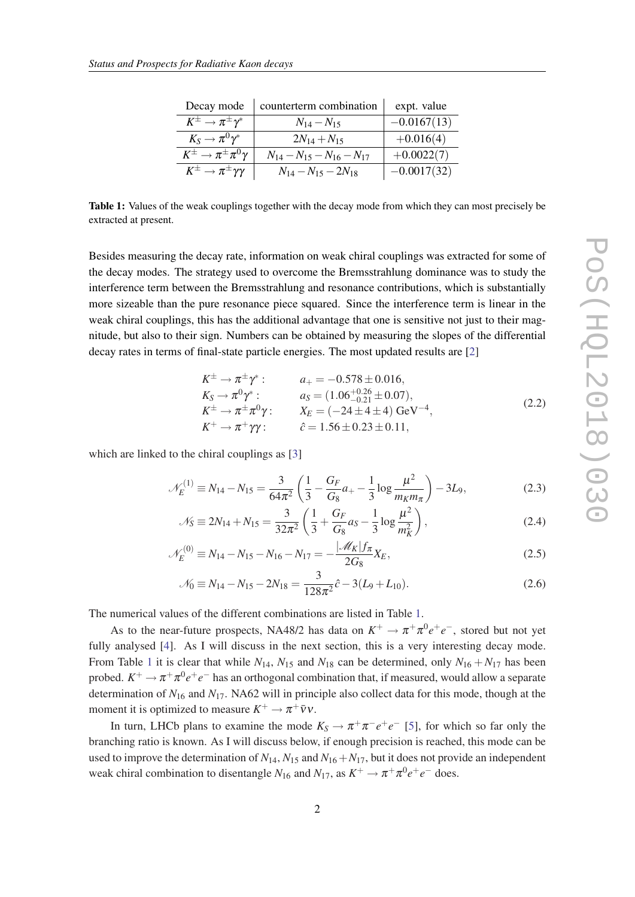<span id="page-2-0"></span>

| Decay mode                                    | counterterm combination       | expt. value   |
|-----------------------------------------------|-------------------------------|---------------|
| $K^{\pm} \rightarrow \pi^{\pm} \gamma^*$      | $N_{14}-N_{15}$               | $-0.0167(13)$ |
| $K_S \to \pi^0 \gamma^*$                      | $2N_{14} + N_{15}$            | $+0.016(4)$   |
| $K^{\pm} \rightarrow \pi^{\pm} \pi^0 \gamma$  | $N_{14}-N_{15}-N_{16}-N_{17}$ | $+0.0022(7)$  |
| $K^{\pm} \rightarrow \pi^{\pm} \gamma \gamma$ | $N_{14}-N_{15}-2N_{18}$       | $-0.0017(32)$ |

Table 1: Values of the weak couplings together with the decay mode from which they can most precisely be extracted at present.

Besides measuring the decay rate, information on weak chiral couplings was extracted for some of the decay modes. The strategy used to overcome the Bremsstrahlung dominance was to study the interference term between the Bremsstrahlung and resonance contributions, which is substantially more sizeable than the pure resonance piece squared. Since the interference term is linear in the weak chiral couplings, this has the additional advantage that one is sensitive not just to their magnitude, but also to their sign. Numbers can be obtained by measuring the slopes of the differential decay rates in terms of final-state particle energies. The most updated results are [\[2\]](#page-7-0)

$$
K^{\pm} \to \pi^{\pm} \gamma^* : \qquad a_+ = -0.578 \pm 0.016,
$$
  
\n
$$
K_S \to \pi^0 \gamma^* : \qquad a_S = (1.06^{+0.26}_{-0.21} \pm 0.07),
$$
  
\n
$$
K^{\pm} \to \pi^{\pm} \pi^0 \gamma : \qquad X_E = (-24 \pm 4 \pm 4) \text{ GeV}^{-4},
$$
  
\n
$$
K^+ \to \pi^+ \gamma \gamma : \qquad \hat{c} = 1.56 \pm 0.23 \pm 0.11,
$$
  
\n(2.2)

which are linked to the chiral couplings as [\[3\]](#page-7-0)

$$
\mathcal{N}_E^{(1)} \equiv N_{14} - N_{15} = \frac{3}{64\pi^2} \left( \frac{1}{3} - \frac{G_F}{G_8} a_+ - \frac{1}{3} \log \frac{\mu^2}{m_K m_\pi} \right) - 3L_9,
$$
\n(2.3)

$$
\mathcal{N}_S \equiv 2N_{14} + N_{15} = \frac{3}{32\pi^2} \left( \frac{1}{3} + \frac{G_F}{G_8} a_S - \frac{1}{3} \log \frac{\mu^2}{m_K^2} \right),\tag{2.4}
$$

$$
\mathcal{N}_E^{(0)} \equiv N_{14} - N_{15} - N_{16} - N_{17} = -\frac{|\mathcal{M}_K| f_\pi}{2G_8} X_E,
$$
\n(2.5)

$$
\mathcal{N}_0 \equiv N_{14} - N_{15} - 2N_{18} = \frac{3}{128\pi^2} \hat{c} - 3(L_9 + L_{10}).
$$
\n(2.6)

The numerical values of the different combinations are listed in Table 1.

As to the near-future prospects, NA48/2 has data on  $K^+ \to \pi^+ \pi^0 e^+ e^-$ , stored but not yet fully analysed [[4](#page-7-0)]. As I will discuss in the next section, this is a very interesting decay mode. From Table 1 it is clear that while  $N_{14}$ ,  $N_{15}$  and  $N_{18}$  can be determined, only  $N_{16} + N_{17}$  has been probed.  $K^+ \to \pi^+ \pi^0 e^+ e^-$  has an orthogonal combination that, if measured, would allow a separate determination of *N*<sup>16</sup> and *N*17. NA62 will in principle also collect data for this mode, though at the moment it is optimized to measure  $K^+ \to \pi^+ \bar{\nu} \nu$ .

In turn, LHCb plans to examine the mode  $K_S \to \pi^+ \pi^- e^+ e^-$  [\[5\]](#page-7-0), for which so far only the branching ratio is known. As I will discuss below, if enough precision is reached, this mode can be used to improve the determination of  $N_{14}$ ,  $N_{15}$  and  $N_{16}+N_{17}$ , but it does not provide an independent weak chiral combination to disentangle  $N_{16}$  and  $N_{17}$ , as  $K^+ \to \pi^+ \pi^0 e^+ e^-$  does.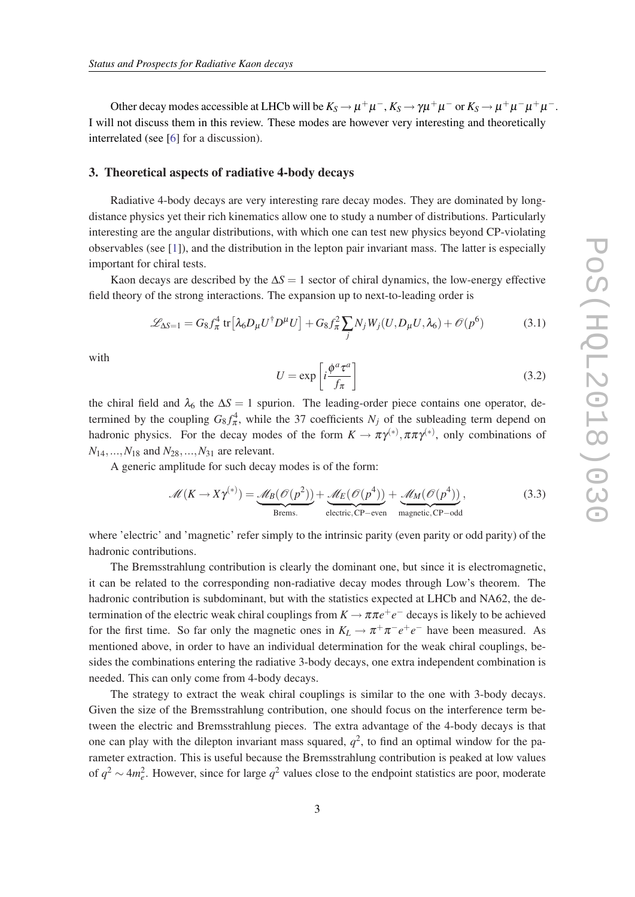Other decay modes accessible at LHCb will be  $K_S \to \mu^+\mu^-, K_S \to \gamma\mu^+\mu^-$  or  $K_S \to \mu^+\mu^-\mu^+\mu^-$ . I will not discuss them in this review. These modes are however very interesting and theoretically interrelated (see [[6](#page-8-0)] for a discussion).

### 3. Theoretical aspects of radiative 4-body decays

Radiative 4-body decays are very interesting rare decay modes. They are dominated by longdistance physics yet their rich kinematics allow one to study a number of distributions. Particularly interesting are the angular distributions, with which one can test new physics beyond CP-violating observables (see [\[1\]](#page-7-0)), and the distribution in the lepton pair invariant mass. The latter is especially important for chiral tests.

Kaon decays are described by the ∆*S* = 1 sector of chiral dynamics, the low-energy effective field theory of the strong interactions. The expansion up to next-to-leading order is

$$
\mathcal{L}_{\Delta S=1} = G_8 f_\pi^4 \text{ tr} \left[ \lambda_6 D_\mu U^\dagger D^\mu U \right] + G_8 f_\pi^2 \sum_j N_j W_j (U, D_\mu U, \lambda_6) + \mathcal{O}(p^6) \tag{3.1}
$$

with

$$
U = \exp\left[i\frac{\phi^a \tau^a}{f_\pi}\right] \tag{3.2}
$$

the chiral field and  $\lambda_6$  the  $\Delta S = 1$  spurion. The leading-order piece contains one operator, determined by the coupling  $G_8 f_\pi^4$ , while the 37 coefficients  $N_j$  of the subleading term depend on hadronic physics. For the decay modes of the form  $K \to \pi \gamma^{(*)}, \pi \pi \gamma^{(*)}$ , only combinations of  $N_{14},...,N_{18}$  and  $N_{28},...,N_{31}$  are relevant.

A generic amplitude for such decay modes is of the form:

$$
\mathcal{M}(K \to X\gamma^{(*)}) = \underbrace{\mathcal{M}_B(\mathcal{O}(p^2))}_{\text{Brems.}} + \underbrace{\mathcal{M}_E(\mathcal{O}(p^4))}_{\text{electric, CP-even}} + \underbrace{\mathcal{M}_M(\mathcal{O}(p^4))}_{\text{magnetic, CP-odd}},
$$
(3.3)

where 'electric' and 'magnetic' refer simply to the intrinsic parity (even parity or odd parity) of the hadronic contributions.

The Bremsstrahlung contribution is clearly the dominant one, but since it is electromagnetic, it can be related to the corresponding non-radiative decay modes through Low's theorem. The hadronic contribution is subdominant, but with the statistics expected at LHCb and NA62, the determination of the electric weak chiral couplings from  $K \to \pi \pi e^+e^-$  decays is likely to be achieved for the first time. So far only the magnetic ones in  $K_L \to \pi^+ \pi^- e^+ e^-$  have been measured. As mentioned above, in order to have an individual determination for the weak chiral couplings, besides the combinations entering the radiative 3-body decays, one extra independent combination is needed. This can only come from 4-body decays.

The strategy to extract the weak chiral couplings is similar to the one with 3-body decays. Given the size of the Bremsstrahlung contribution, one should focus on the interference term between the electric and Bremsstrahlung pieces. The extra advantage of the 4-body decays is that one can play with the dilepton invariant mass squared,  $q^2$ , to find an optimal window for the parameter extraction. This is useful because the Bremsstrahlung contribution is peaked at low values of  $q^2 \sim 4m_e^2$ . However, since for large  $q^2$  values close to the endpoint statistics are poor, moderate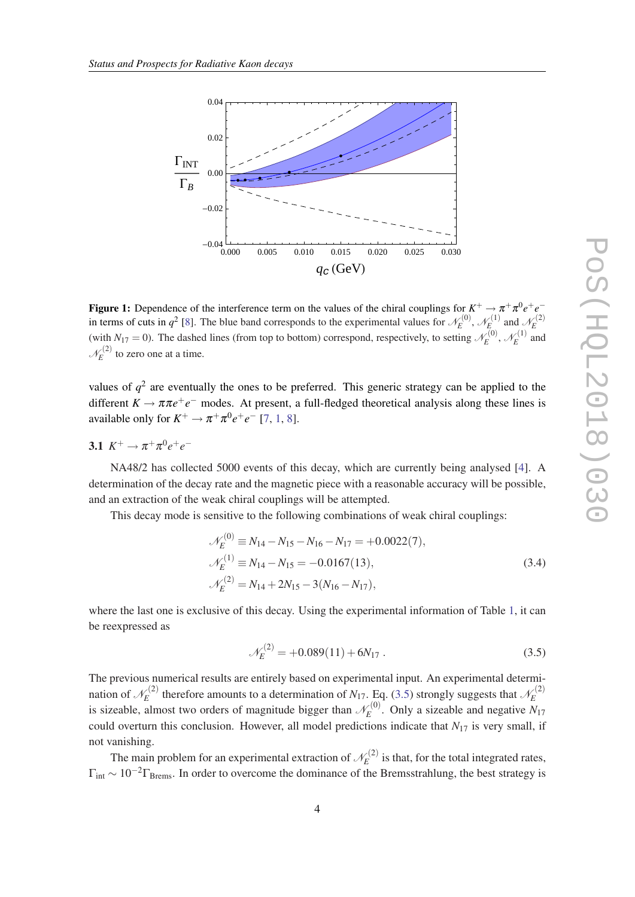<span id="page-4-0"></span>

**Figure 1:** Dependence of the interference term on the values of the chiral couplings for  $K^+ \to \pi^+\pi^0e^+e^$ in terms of cuts in  $q^2$  [\[8](#page-8-0)]. The blue band corresponds to the experimental values for  $\mathcal{N}_E^{(0)}$  $\chi^{(0)}_E, \mathscr{N}^{(1)}_E$  $\mathcal{L}_E^{(1)}$  and  $\mathcal{N}_E^{(2)}$ *E* (with  $N_{17} = 0$ ). The dashed lines (from top to bottom) correspond, respectively, to setting  $\mathcal{N}_E^{(0)}$  $\chi^{(0)}_E, \mathscr{N}^{(1)}_E$  $E^{(1)}$  and  $\mathscr{N}_E^{(2)}$  $\hat{E}^{(2)}$  to zero one at a time.

values of  $q^2$  are eventually the ones to be preferred. This generic strategy can be applied to the different  $K \to \pi \pi e^+e^-$  modes. At present, a full-fledged theoretical analysis along these lines is available only for  $K^+ \to \pi^+ \pi^0 e^+ e^-$  [\[7,](#page-8-0) [1,](#page-7-0) [8](#page-8-0)].

3.1 
$$
K^+ \to \pi^+ \pi^0 e^+ e^-
$$

NA48/2 has collected 5000 events of this decay, which are currently being analysed [\[4\]](#page-7-0). A determination of the decay rate and the magnetic piece with a reasonable accuracy will be possible, and an extraction of the weak chiral couplings will be attempted.

This decay mode is sensitive to the following combinations of weak chiral couplings:

$$
\mathcal{N}_E^{(0)} \equiv N_{14} - N_{15} - N_{16} - N_{17} = +0.0022(7),
$$
  
\n
$$
\mathcal{N}_E^{(1)} \equiv N_{14} - N_{15} = -0.0167(13),
$$
  
\n
$$
\mathcal{N}_E^{(2)} = N_{14} + 2N_{15} - 3(N_{16} - N_{17}),
$$
\n(3.4)

where the last one is exclusive of this decay. Using the experimental information of Table [1,](#page-2-0) it can be reexpressed as

$$
\mathcal{N}_E^{(2)} = +0.089(11) + 6N_{17} \,. \tag{3.5}
$$

The previous numerical results are entirely based on experimental input. An experimental determination of  $\mathcal{N}_E^{(2)}$  $\mathcal{L}_E^{(2)}$  therefore amounts to a determination of *N*<sub>17</sub>. Eq. (3.5) strongly suggests that  $\mathcal{N}_E^{(2)}$ *E* is sizeable, almost two orders of magnitude bigger than  $\mathcal{N}_E^{(0)}$  $\hat{E}^{(0)}$ . Only a sizeable and negative  $N_{17}$ could overturn this conclusion. However, all model predictions indicate that  $N_{17}$  is very small, if not vanishing.

The main problem for an experimental extraction of  $\mathcal{N}_E^{(2)}$  $\hat{E}^{(2)}$  is that, for the total integrated rates,  $\Gamma_{\text{int}} \sim 10^{-2} \Gamma_{\text{Brems}}$ . In order to overcome the dominance of the Bremsstrahlung, the best strategy is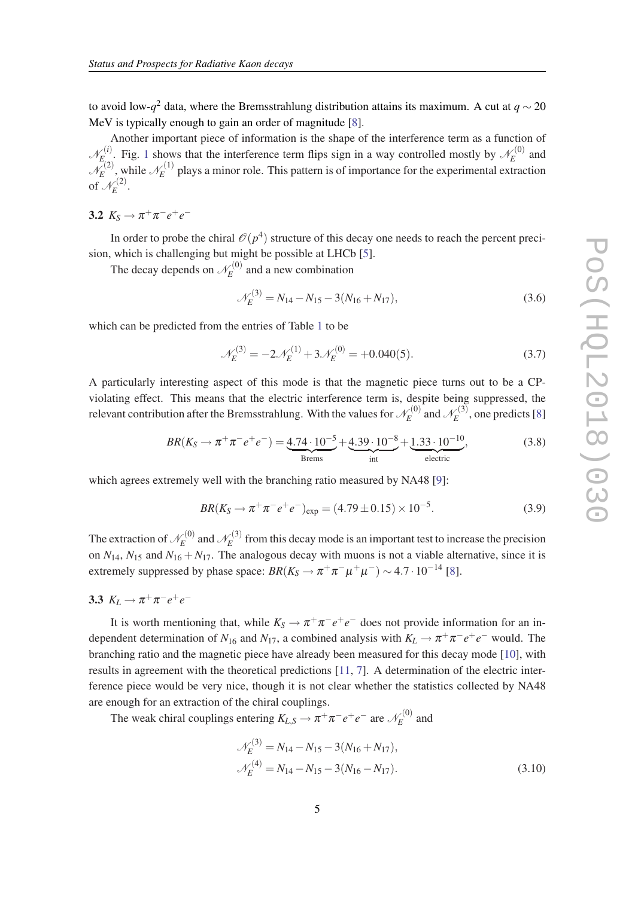to avoid low-*q* <sup>2</sup> data, where the Bremsstrahlung distribution attains its maximum. A cut at *q* ∼ 20 MeV is typically enough to gain an order of magnitude [[8](#page-8-0)].

Another important piece of information is the shape of the interference term as a function of  $\mathscr{N}_E^{(i)}$  $\mathcal{L}_{E_{\infty}}^{(i)}$ . Fig. [1](#page-4-0) shows that the interference term flips sign in a way controlled mostly by  $\mathcal{N}_{E}^{(0)}$  $E^{(0)}$  and  $\mathcal{N}_E^{(2)}$  $\bar{E}^{(2)}$ , while  $\mathcal{N}_E^{(1)}$  $E_E^{(1)}$  plays a minor role. This pattern is of importance for the experimental extraction of  $\mathcal{N}_E^{(2)}$  $\hat{E}^{(2)}$ .

3.2  $K_S \to \pi^+ \pi^- e^+ e^-$ 

In order to probe the chiral  $\mathcal{O}(p^4)$  structure of this decay one needs to reach the percent precision, which is challenging but might be possible at LHCb [\[5\]](#page-7-0).

The decay depends on  $\mathscr{N}_E^{(0)}$  $E^{(0)}$  and a new combination

$$
\mathcal{N}_E^{(3)} = N_{14} - N_{15} - 3(N_{16} + N_{17}),\tag{3.6}
$$

which can be predicted from the entries of Table [1](#page-2-0) to be

$$
\mathcal{N}_E^{(3)} = -2\mathcal{N}_E^{(1)} + 3\mathcal{N}_E^{(0)} = +0.040(5). \tag{3.7}
$$

A particularly interesting aspect of this mode is that the magnetic piece turns out to be a CPviolating effect. This means that the electric interference term is, despite being suppressed, the relevant contribution after the Bremsstrahlung. With the values for  $\mathscr{N}_{E}^{(0)}$  $\chi_E^{(0)}$  and  $\mathscr{N}_E^{(3)}$  $\chi_E^{(3)}$ , one predicts [[8](#page-8-0)]

$$
BR(K_S \to \pi^+ \pi^- e^+ e^-) = \underbrace{4.74 \cdot 10^{-5}}_{\text{Brems}} + \underbrace{4.39 \cdot 10^{-8}}_{\text{int}} + \underbrace{1.33 \cdot 10^{-10}}_{\text{electric}},
$$
(3.8)

which agrees extremely well with the branching ratio measured by NA48 [\[9\]](#page-8-0):

$$
BR(K_S \to \pi^+ \pi^- e^+ e^-)_{\text{exp}} = (4.79 \pm 0.15) \times 10^{-5}.
$$
 (3.9)

The extraction of  $\mathscr{N}_E^{(0)}$  $\chi_E^{(0)}$  and  $\mathscr{N}_E^{(3)}$  $E_E^{(3)}$  from this decay mode is an important test to increase the precision on  $N_{14}$ ,  $N_{15}$  and  $N_{16} + N_{17}$ . The analogous decay with muons is not a viable alternative, since it is extremely suppressed by phase space:  $BR(K_S \to \pi^+ \pi^- \mu^+ \mu^-) \sim 4.7 \cdot 10^{-14}$  [[8](#page-8-0)].

3.3  $K_L \rightarrow \pi^+ \pi^- e^+ e^-$ 

It is worth mentioning that, while  $K_S \to \pi^+ \pi^- e^+ e^-$  does not provide information for an independent determination of  $N_{16}$  and  $N_{17}$ , a combined analysis with  $K_L \to \pi^+ \pi^- e^+ e^-$  would. The branching ratio and the magnetic piece have already been measured for this decay mode [[10\]](#page-8-0), with results in agreement with the theoretical predictions [[11,](#page-8-0) [7\]](#page-8-0). A determination of the electric interference piece would be very nice, though it is not clear whether the statistics collected by NA48 are enough for an extraction of the chiral couplings.

The weak chiral couplings entering  $K_{L,S} \to \pi^+ \pi^- e^+ e^-$  are  $\mathcal{N}_E^{(0)}$  $E^{(0)}$  and

$$
\mathcal{N}_E^{(3)} = N_{14} - N_{15} - 3(N_{16} + N_{17}),
$$
  

$$
\mathcal{N}_E^{(4)} = N_{14} - N_{15} - 3(N_{16} - N_{17}).
$$
 (3.10)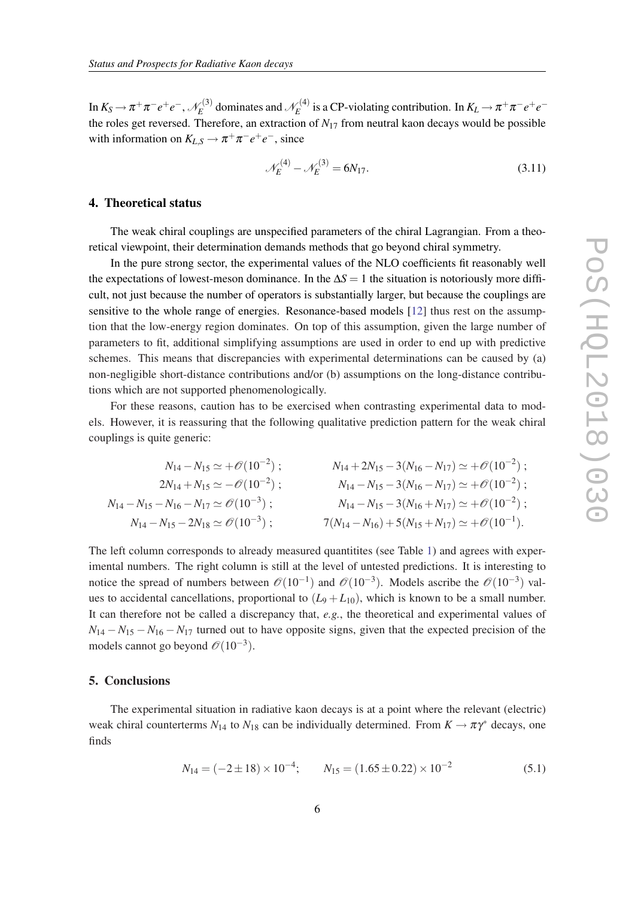In  $K_S \rightarrow \pi^+\pi^-e^+e^-, \mathscr{N}_E^{(3)}$  $\chi_E^{(3)}$  dominates and  $\mathcal{N}_E^{(4)}$  $E_E^{(4)}$  is a CP-violating contribution. In  $K_L \to \pi^+ \pi^- e^+ e^$ the roles get reversed. Therefore, an extraction of  $N_{17}$  from neutral kaon decays would be possible with information on  $K_{L,S} \to \pi^+ \pi^- e^+ e^-$ , since

$$
\mathcal{N}_E^{(4)} - \mathcal{N}_E^{(3)} = 6N_{17}.\tag{3.11}
$$

# 4. Theoretical status

The weak chiral couplings are unspecified parameters of the chiral Lagrangian. From a theoretical viewpoint, their determination demands methods that go beyond chiral symmetry.

In the pure strong sector, the experimental values of the NLO coefficients fit reasonably well the expectations of lowest-meson dominance. In the  $\Delta S = 1$  the situation is notoriously more difficult, not just because the number of operators is substantially larger, but because the couplings are sensitive to the whole range of energies. Resonance-based models [[12\]](#page-8-0) thus rest on the assumption that the low-energy region dominates. On top of this assumption, given the large number of parameters to fit, additional simplifying assumptions are used in order to end up with predictive schemes. This means that discrepancies with experimental determinations can be caused by (a) non-negligible short-distance contributions and/or (b) assumptions on the long-distance contributions which are not supported phenomenologically.

For these reasons, caution has to be exercised when contrasting experimental data to models. However, it is reassuring that the following qualitative prediction pattern for the weak chiral couplings is quite generic:

$$
N_{14} - N_{15} \simeq +\mathcal{O}(10^{-2}) ; \qquad N_{14} + 2N_{15} - 3(N_{16} - N_{17}) \simeq +\mathcal{O}(10^{-2}) ;
$$
  
\n
$$
2N_{14} + N_{15} \simeq -\mathcal{O}(10^{-2}) ; \qquad N_{14} - N_{15} - 3(N_{16} - N_{17}) \simeq +\mathcal{O}(10^{-2}) ;
$$
  
\n
$$
N_{14} - N_{15} - N_{16} - N_{17} \simeq \mathcal{O}(10^{-3}) ; \qquad N_{14} - N_{15} - 3(N_{16} + N_{17}) \simeq +\mathcal{O}(10^{-2}) ;
$$
  
\n
$$
N_{14} - N_{15} - 2N_{18} \simeq \mathcal{O}(10^{-3}) ; \qquad 7(N_{14} - N_{16}) + 5(N_{15} + N_{17}) \simeq +\mathcal{O}(10^{-1}) .
$$

The left column corresponds to already measured quantitites (see Table [1\)](#page-2-0) and agrees with experimental numbers. The right column is still at the level of untested predictions. It is interesting to notice the spread of numbers between  $\mathcal{O}(10^{-1})$  and  $\mathcal{O}(10^{-3})$ . Models ascribe the  $\mathcal{O}(10^{-3})$  values to accidental cancellations, proportional to  $(L_9 + L_{10})$ , which is known to be a small number. It can therefore not be called a discrepancy that, *e.g.*, the theoretical and experimental values of  $N_{14} - N_{15} - N_{16} - N_{17}$  turned out to have opposite signs, given that the expected precision of the models cannot go beyond  $\mathcal{O}(10^{-3})$ .

# 5. Conclusions

The experimental situation in radiative kaon decays is at a point where the relevant (electric) weak chiral counterterms  $N_{14}$  to  $N_{18}$  can be individually determined. From  $K \to \pi \gamma^*$  decays, one finds

$$
N_{14} = (-2 \pm 18) \times 10^{-4}; \qquad N_{15} = (1.65 \pm 0.22) \times 10^{-2}
$$
 (5.1)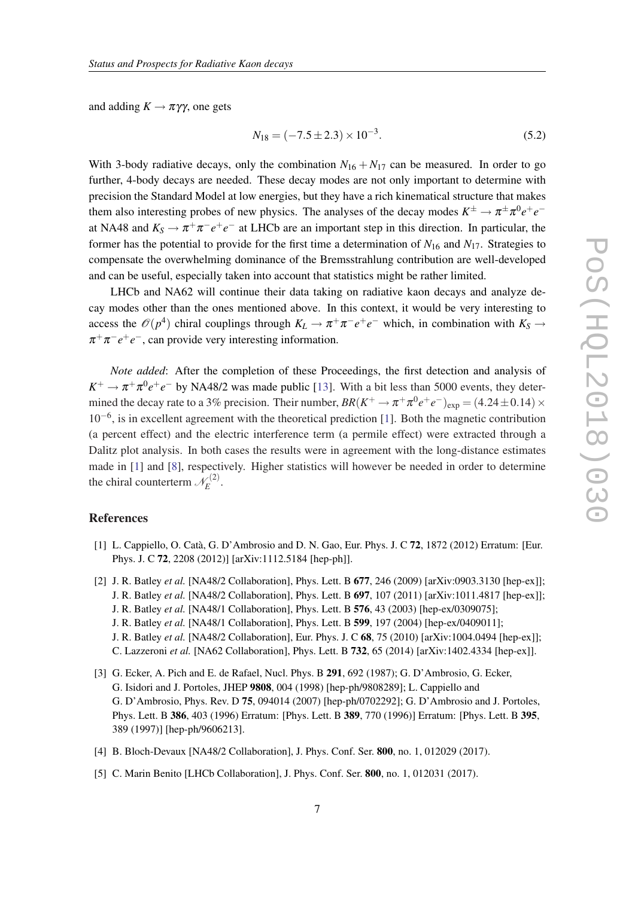<span id="page-7-0"></span>and adding  $K \to \pi \gamma \gamma$ , one gets

$$
N_{18} = (-7.5 \pm 2.3) \times 10^{-3}.
$$
\n(5.2)

With 3-body radiative decays, only the combination  $N_{16} + N_{17}$  can be measured. In order to go further, 4-body decays are needed. These decay modes are not only important to determine with precision the Standard Model at low energies, but they have a rich kinematical structure that makes them also interesting probes of new physics. The analyses of the decay modes  $K^{\pm} \to \pi^{\pm} \pi^0 e^+ e^$ at NA48 and  $K_S \to \pi^+\pi^-e^+e^-$  at LHCb are an important step in this direction. In particular, the former has the potential to provide for the first time a determination of  $N_{16}$  and  $N_{17}$ . Strategies to compensate the overwhelming dominance of the Bremsstrahlung contribution are well-developed and can be useful, especially taken into account that statistics might be rather limited.

LHCb and NA62 will continue their data taking on radiative kaon decays and analyze decay modes other than the ones mentioned above. In this context, it would be very interesting to access the  $\mathcal{O}(p^4)$  chiral couplings through  $K_L \to \pi^+\pi^-e^+e^-$  which, in combination with  $K_S \to$  $\pi^+\pi^-e^+e^-$ , can provide very interesting information.

*Note added*: After the completion of these Proceedings, the first detection and analysis of  $K^+ \to \pi^+ \pi^0 e^+ e^-$  by NA48/2 was made public [\[13](#page-8-0)]. With a bit less than 5000 events, they determined the decay rate to a 3% precision. Their number,  $BR(K^+ \to \pi^+ \pi^0 e^+ e^-)_{\rm exp} = (4.24 \pm 0.14) \times$ 10−<sup>6</sup> , is in excellent agreement with the theoretical prediction [1]. Both the magnetic contribution (a percent effect) and the electric interference term (a permile effect) were extracted through a Dalitz plot analysis. In both cases the results were in agreement with the long-distance estimates made in [1] and [[8](#page-8-0)], respectively. Higher statistics will however be needed in order to determine the chiral counterterm  $\mathcal{N}_E^{(2)}$  $\hat{E}^{(2)}$ .

# References

- [1] L. Cappiello, O. Catà, G. D'Ambrosio and D. N. Gao, Eur. Phys. J. C 72, 1872 (2012) Erratum: [Eur. Phys. J. C 72, 2208 (2012)] [arXiv:1112.5184 [hep-ph]].
- [2] J. R. Batley *et al.* [NA48/2 Collaboration], Phys. Lett. B 677, 246 (2009) [arXiv:0903.3130 [hep-ex]]; J. R. Batley *et al.* [NA48/2 Collaboration], Phys. Lett. B 697, 107 (2011) [arXiv:1011.4817 [hep-ex]]; J. R. Batley *et al.* [NA48/1 Collaboration], Phys. Lett. B 576, 43 (2003) [hep-ex/0309075]; J. R. Batley *et al.* [NA48/1 Collaboration], Phys. Lett. B 599, 197 (2004) [hep-ex/0409011]; J. R. Batley *et al.* [NA48/2 Collaboration], Eur. Phys. J. C 68, 75 (2010) [arXiv:1004.0494 [hep-ex]]; C. Lazzeroni *et al.* [NA62 Collaboration], Phys. Lett. B 732, 65 (2014) [arXiv:1402.4334 [hep-ex]].
- [3] G. Ecker, A. Pich and E. de Rafael, Nucl. Phys. B 291, 692 (1987); G. D'Ambrosio, G. Ecker, G. Isidori and J. Portoles, JHEP 9808, 004 (1998) [hep-ph/9808289]; L. Cappiello and G. D'Ambrosio, Phys. Rev. D 75, 094014 (2007) [hep-ph/0702292]; G. D'Ambrosio and J. Portoles, Phys. Lett. B 386, 403 (1996) Erratum: [Phys. Lett. B 389, 770 (1996)] Erratum: [Phys. Lett. B 395, 389 (1997)] [hep-ph/9606213].
- [4] B. Bloch-Devaux [NA48/2 Collaboration], J. Phys. Conf. Ser. 800, no. 1, 012029 (2017).
- [5] C. Marin Benito [LHCb Collaboration], J. Phys. Conf. Ser. **800**, no. 1, 012031 (2017).